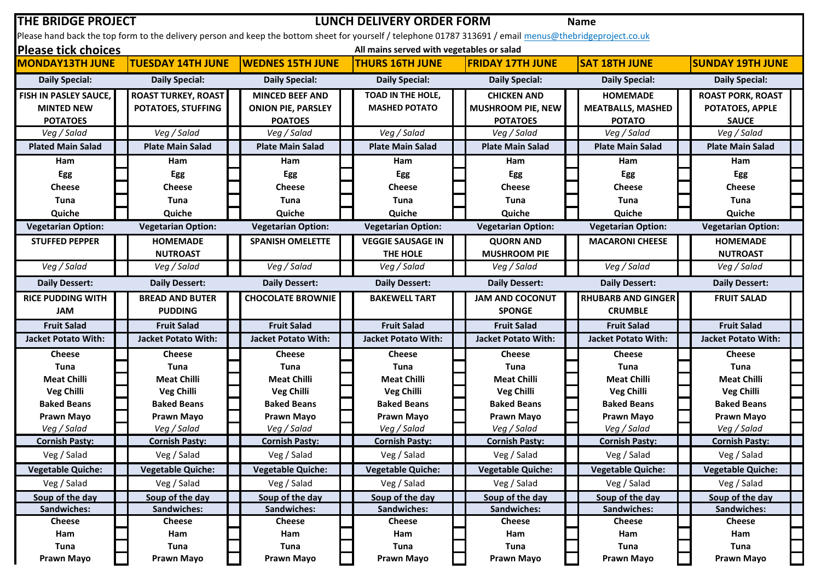| <b>THE BRIDGE PROJECT</b><br><b>LUNCH DELIVERY ORDER FORM</b><br><b>Name</b>                                                                              |                            |  |                            |  |                            |  |                            |  |                            |  |                            |  |
|-----------------------------------------------------------------------------------------------------------------------------------------------------------|----------------------------|--|----------------------------|--|----------------------------|--|----------------------------|--|----------------------------|--|----------------------------|--|
| Please hand back the top form to the delivery person and keep the bottom sheet for yourself / telephone 01787 313691 / email menus@thebridgeproject.co.uk |                            |  |                            |  |                            |  |                            |  |                            |  |                            |  |
| <b>Please tick choices</b><br>All mains served with vegetables or salad                                                                                   |                            |  |                            |  |                            |  |                            |  |                            |  |                            |  |
| <b>MONDAY13TH JUNE</b>                                                                                                                                    | <b>TUESDAY 14TH JUNE</b>   |  | <b>WEDNES 15TH JUNE</b>    |  | <b>THURS 16TH JUNE</b>     |  | <b>FRIDAY 17TH JUNE</b>    |  | <b>SAT 18TH JUNE</b>       |  | <b>SUNDAY 19TH JUNE</b>    |  |
| <b>Daily Special:</b>                                                                                                                                     | <b>Daily Special:</b>      |  | <b>Daily Special:</b>      |  | <b>Daily Special:</b>      |  | <b>Daily Special:</b>      |  | <b>Daily Special:</b>      |  | <b>Daily Special:</b>      |  |
| FISH IN PASLEY SAUCE,                                                                                                                                     | <b>ROAST TURKEY, ROAST</b> |  | <b>MINCED BEEF AND</b>     |  | TOAD IN THE HOLE,          |  | <b>CHICKEN AND</b>         |  | <b>HOMEMADE</b>            |  | <b>ROAST PORK, ROAST</b>   |  |
| <b>MINTED NEW</b>                                                                                                                                         | POTATOES, STUFFING         |  | <b>ONION PIE, PARSLEY</b>  |  | <b>MASHED POTATO</b>       |  | <b>MUSHROOM PIE, NEW</b>   |  | <b>MEATBALLS, MASHED</b>   |  | POTATOES, APPLE            |  |
| <b>POTATOES</b>                                                                                                                                           |                            |  | <b>POATOES</b>             |  |                            |  | <b>POTATOES</b>            |  | <b>POTATO</b>              |  | <b>SAUCE</b>               |  |
| Veg / Salad                                                                                                                                               | Veg / Salad                |  | Veg / Salad                |  | Veg / Salad                |  | Veg / Salad                |  | Veg / Salad                |  | Veg / Salad                |  |
| <b>Plated Main Salad</b>                                                                                                                                  | <b>Plate Main Salad</b>    |  | <b>Plate Main Salad</b>    |  | <b>Plate Main Salad</b>    |  | <b>Plate Main Salad</b>    |  | <b>Plate Main Salad</b>    |  | <b>Plate Main Salad</b>    |  |
| Ham                                                                                                                                                       | Ham                        |  | Ham                        |  | Ham                        |  | Ham                        |  | <b>Ham</b>                 |  | Ham                        |  |
| Egg                                                                                                                                                       | Egg                        |  | Egg                        |  | Egg                        |  | Egg                        |  | Egg                        |  | Egg                        |  |
| <b>Cheese</b>                                                                                                                                             | <b>Cheese</b>              |  | <b>Cheese</b>              |  | <b>Cheese</b>              |  | <b>Cheese</b>              |  | Cheese                     |  | <b>Cheese</b>              |  |
| Tuna                                                                                                                                                      | <b>Tuna</b>                |  | Tuna                       |  | Tuna                       |  | <b>Tuna</b>                |  | Tuna                       |  | Tuna                       |  |
| Quiche                                                                                                                                                    | Quiche                     |  | Quiche                     |  | Quiche                     |  | Quiche                     |  | Quiche                     |  | Quiche                     |  |
| <b>Vegetarian Option:</b>                                                                                                                                 | <b>Vegetarian Option:</b>  |  | <b>Vegetarian Option:</b>  |  | <b>Vegetarian Option:</b>  |  | <b>Vegetarian Option:</b>  |  | <b>Vegetarian Option:</b>  |  | <b>Vegetarian Option:</b>  |  |
| <b>STUFFED PEPPER</b>                                                                                                                                     | <b>HOMEMADE</b>            |  | <b>SPANISH OMELETTE</b>    |  | <b>VEGGIE SAUSAGE IN</b>   |  | <b>QUORN AND</b>           |  | <b>MACARONI CHEESE</b>     |  | <b>HOMEMADE</b>            |  |
|                                                                                                                                                           | <b>NUTROAST</b>            |  |                            |  | THE HOLE                   |  | <b>MUSHROOM PIE</b>        |  |                            |  | <b>NUTROAST</b>            |  |
| Veg / Salad                                                                                                                                               | Veg / Salad                |  | Veg / Salad                |  | Veg / Salad                |  | Veg / Salad                |  | Veg / Salad                |  | Veg / Salad                |  |
| <b>Daily Dessert:</b>                                                                                                                                     | <b>Daily Dessert:</b>      |  | <b>Daily Dessert:</b>      |  | <b>Daily Dessert:</b>      |  | <b>Daily Dessert:</b>      |  | <b>Daily Dessert:</b>      |  | <b>Daily Dessert:</b>      |  |
| <b>RICE PUDDING WITH</b>                                                                                                                                  | <b>BREAD AND BUTER</b>     |  | <b>CHOCOLATE BROWNIE</b>   |  | <b>BAKEWELL TART</b>       |  | <b>JAM AND COCONUT</b>     |  | <b>RHUBARB AND GINGER</b>  |  | <b>FRUIT SALAD</b>         |  |
| <b>JAM</b>                                                                                                                                                | <b>PUDDING</b>             |  |                            |  |                            |  | <b>SPONGE</b>              |  | <b>CRUMBLE</b>             |  |                            |  |
| <b>Fruit Salad</b>                                                                                                                                        | <b>Fruit Salad</b>         |  | <b>Fruit Salad</b>         |  | <b>Fruit Salad</b>         |  | <b>Fruit Salad</b>         |  | <b>Fruit Salad</b>         |  | <b>Fruit Salad</b>         |  |
| <b>Jacket Potato With:</b>                                                                                                                                | <b>Jacket Potato With:</b> |  | <b>Jacket Potato With:</b> |  | <b>Jacket Potato With:</b> |  | <b>Jacket Potato With:</b> |  | <b>Jacket Potato With:</b> |  | <b>Jacket Potato With:</b> |  |
| <b>Cheese</b>                                                                                                                                             | <b>Cheese</b>              |  | Cheese                     |  | <b>Cheese</b>              |  | <b>Cheese</b>              |  | <b>Cheese</b>              |  | <b>Cheese</b>              |  |
| Tuna                                                                                                                                                      | Tuna                       |  | <b>Tuna</b>                |  | Tuna                       |  | Tuna                       |  | Tuna                       |  | Tuna                       |  |
| <b>Meat Chilli</b>                                                                                                                                        | <b>Meat Chilli</b>         |  | <b>Meat Chilli</b>         |  | <b>Meat Chilli</b>         |  | <b>Meat Chilli</b>         |  | <b>Meat Chilli</b>         |  | <b>Meat Chilli</b>         |  |
| <b>Veg Chilli</b>                                                                                                                                         | <b>Veg Chilli</b>          |  | <b>Veg Chilli</b>          |  | <b>Veg Chilli</b>          |  | <b>Veg Chilli</b>          |  | <b>Veg Chilli</b>          |  | <b>Veg Chilli</b>          |  |
| <b>Baked Beans</b>                                                                                                                                        | <b>Baked Beans</b>         |  | <b>Baked Beans</b>         |  | <b>Baked Beans</b>         |  | <b>Baked Beans</b>         |  | <b>Baked Beans</b>         |  | <b>Baked Beans</b>         |  |
| <b>Prawn Mayo</b>                                                                                                                                         | Prawn Mayo                 |  | <b>Prawn Mayo</b>          |  | Prawn Mayo                 |  | Prawn Mayo                 |  | <b>Prawn Mayo</b>          |  | <b>Prawn Mayo</b>          |  |
| Veg / Salad                                                                                                                                               | Veg / Salad                |  | Veg / Salad                |  | Veg / Salad                |  | Veg / Salad                |  | Veg / Salad                |  | Veg / Salad                |  |
| <b>Cornish Pasty:</b>                                                                                                                                     | <b>Cornish Pasty:</b>      |  | <b>Cornish Pasty:</b>      |  | <b>Cornish Pasty:</b>      |  | <b>Cornish Pasty:</b>      |  | <b>Cornish Pasty:</b>      |  | <b>Cornish Pasty:</b>      |  |
| Veg / Salad                                                                                                                                               | Veg / Salad                |  | Veg / Salad                |  | Veg / Salad                |  | Veg / Salad                |  | Veg / Salad                |  | Veg / Salad                |  |
| <b>Vegetable Quiche:</b>                                                                                                                                  | <b>Vegetable Quiche:</b>   |  | <b>Vegetable Quiche:</b>   |  | <b>Vegetable Quiche:</b>   |  | <b>Vegetable Quiche:</b>   |  | <b>Vegetable Quiche:</b>   |  | <b>Vegetable Quiche:</b>   |  |
| Veg / Salad                                                                                                                                               | Veg / Salad                |  | Veg / Salad                |  | Veg / Salad                |  | Veg / Salad                |  | Veg / Salad                |  | Veg / Salad                |  |
| Soup of the day                                                                                                                                           | Soup of the day            |  | Soup of the day            |  | Soup of the day            |  | Soup of the day            |  | Soup of the day            |  | Soup of the day            |  |
| Sandwiches:                                                                                                                                               | Sandwiches:                |  | Sandwiches:                |  | Sandwiches:                |  | Sandwiches:                |  | Sandwiches:                |  | Sandwiches:                |  |
| <b>Cheese</b>                                                                                                                                             | <b>Cheese</b>              |  | <b>Cheese</b>              |  | Cheese                     |  | <b>Cheese</b>              |  | <b>Cheese</b>              |  | <b>Cheese</b>              |  |
| Ham                                                                                                                                                       | Ham                        |  | Ham                        |  | Ham                        |  | Ham                        |  | Ham                        |  | Ham                        |  |
| Tuna                                                                                                                                                      | Tuna                       |  | Tuna                       |  | Tuna                       |  | Tuna                       |  | Tuna                       |  | <b>Tuna</b>                |  |
| <b>Prawn Mayo</b>                                                                                                                                         | Prawn Mayo                 |  | <b>Prawn Mayo</b>          |  | <b>Prawn Mayo</b>          |  | <b>Prawn Mayo</b>          |  | Prawn Mayo                 |  | <b>Prawn Mayo</b>          |  |